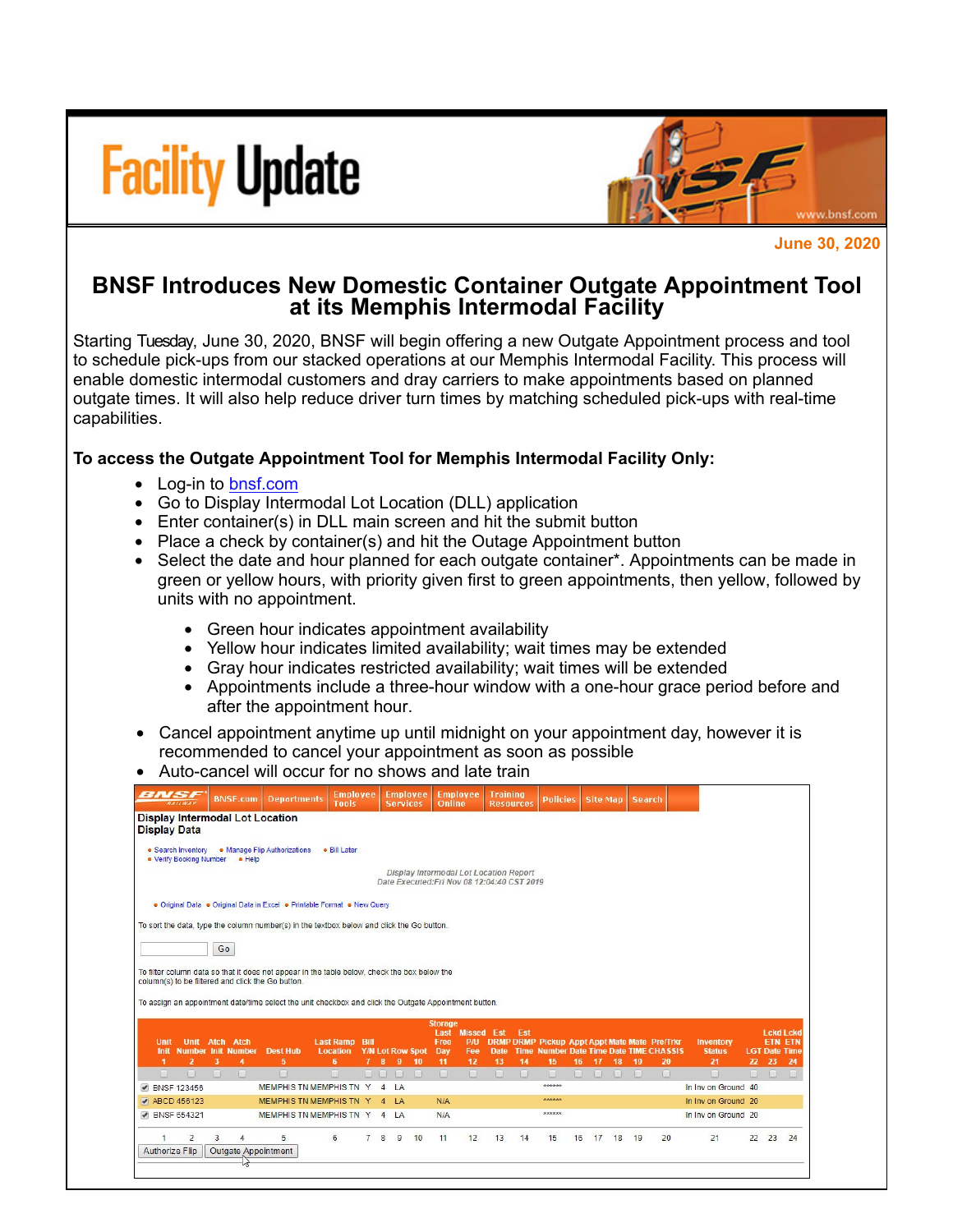



**June 30, 2020**

## **BNSF Introduces New Domestic Container Outgate Appointment Tool at its Memphis Intermodal Facility**

Starting Tuesday, June 30, 2020, BNSF will begin offering a new Outgate Appointment process and tool to schedule pick-ups from our stacked operations at our Memphis Intermodal Facility. This process will enable domestic intermodal customers and dray carriers to make appointments based on planned outgate times. It will also help reduce driver turn times by matching scheduled pick-ups with real-time capabilities.

## **To access the Outgate Appointment Tool for Memphis Intermodal Facility Only:**

- Log-in to [bnsf.com](http://click.email.bnsf.com/?qs=bdff06c5ce0f8990655ad6677ab737c1232c875c1601217714da6e8be604f2e65ed089fa1dd5a20ca1623007ff82b60ccafb8f82dd2a384f)
- Go to Display Intermodal Lot Location (DLL) application
- Enter container(s) in DLL main screen and hit the submit button
- Place a check by container(s) and hit the Outage Appointment button
- Select the date and hour planned for each outgate container\*. Appointments can be made in green or yellow hours, with priority given first to green appointments, then yellow, followed by units with no appointment.
	- Green hour indicates appointment availability
	- Yellow hour indicates limited availability; wait times may be extended
	- Gray hour indicates restricted availability; wait times will be extended
	- Appointments include a three-hour window with a one-hour grace period before and after the appointment hour.
- Cancel appointment anytime up until midnight on your appointment day, however it is recommended to cancel your appointment as soon as possible
- Auto-cancel will occur for no shows and late train

|                                                   |                       |        | <b>BNSF.com</b>           | <b>Departments</b>                     | <b>Employee</b><br>Tools                                                                              |                | <b>Employee</b><br><b>Services</b> |        | Online                 | <b>Employee</b> | <b>Training</b><br><b>Resources</b>                                                   |             | <b>Policies</b> |    |       |    | Site Map   Search                                                                                 |        |                                   |    |        |                                        |
|---------------------------------------------------|-----------------------|--------|---------------------------|----------------------------------------|-------------------------------------------------------------------------------------------------------|----------------|------------------------------------|--------|------------------------|-----------------|---------------------------------------------------------------------------------------|-------------|-----------------|----|-------|----|---------------------------------------------------------------------------------------------------|--------|-----------------------------------|----|--------|----------------------------------------|
| <b>Display Data</b>                               |                       |        |                           | <b>Display Intermodal Lot Location</b> |                                                                                                       |                |                                    |        |                        |                 |                                                                                       |             |                 |    |       |    |                                                                                                   |        |                                   |    |        |                                        |
| • Search Inventory<br>. Verify Booking Number     |                       |        | · Help                    | • Manage Flip Authorizations           | · Bill Later                                                                                          |                |                                    |        |                        |                 |                                                                                       |             |                 |    |       |    |                                                                                                   |        |                                   |    |        |                                        |
|                                                   |                       |        |                           |                                        |                                                                                                       |                |                                    |        |                        |                 | Display Intermodal Lot Location Report<br>Date Executed: Fri Nov 08 12:04:40 CST 2019 |             |                 |    |       |    |                                                                                                   |        |                                   |    |        |                                        |
|                                                   |                       |        |                           |                                        | • Original Data • Original Data in Excel • Printable Format • New Query                               |                |                                    |        |                        |                 |                                                                                       |             |                 |    |       |    |                                                                                                   |        |                                   |    |        |                                        |
|                                                   |                       |        |                           |                                        | To sort the data, type the column number(s) in the textbox below and click the Go button.             |                |                                    |        |                        |                 |                                                                                       |             |                 |    |       |    |                                                                                                   |        |                                   |    |        |                                        |
|                                                   |                       | Go     |                           |                                        |                                                                                                       |                |                                    |        |                        |                 |                                                                                       |             |                 |    |       |    |                                                                                                   |        |                                   |    |        |                                        |
|                                                   |                       |        |                           |                                        | To filter column data so that it does not appear in the table below, check the box below the          |                |                                    |        |                        |                 |                                                                                       |             |                 |    |       |    |                                                                                                   |        |                                   |    |        |                                        |
| column(s) to be filtered and click the Go button. |                       |        |                           |                                        |                                                                                                       |                |                                    |        |                        |                 |                                                                                       |             |                 |    |       |    |                                                                                                   |        |                                   |    |        |                                        |
|                                                   |                       |        |                           |                                        |                                                                                                       |                |                                    |        |                        |                 |                                                                                       |             |                 |    |       |    |                                                                                                   |        |                                   |    |        |                                        |
|                                                   |                       |        |                           |                                        | To assign an appointment date/time select the unit checkbox and click the Outgate Appointment button. |                |                                    |        |                        |                 |                                                                                       |             |                 |    |       |    |                                                                                                   |        |                                   |    |        |                                        |
|                                                   |                       |        |                           |                                        |                                                                                                       |                |                                    |        |                        |                 |                                                                                       |             |                 |    |       |    |                                                                                                   |        |                                   |    |        |                                        |
|                                                   |                       |        |                           |                                        |                                                                                                       |                |                                    |        | <b>Storage</b><br>Last | <b>Missed</b>   | Est                                                                                   | Est         |                 |    |       |    |                                                                                                   |        |                                   |    |        | <b>Lckd Lckd</b>                       |
| <b>Unit</b><br>Init                               | <b>Unit Atch Atch</b> |        | <b>Number Init Number</b> | <b>Dest Hub</b>                        | <b>Last Ramp Bill</b><br><b>Location</b>                                                              |                | <b>Y/N Lot Row Spot</b>            |        | Free<br>Day            | P/U<br>Fee      | <b>Date</b>                                                                           | <b>Time</b> |                 |    |       |    | <b>DRMP DRMP Pickup Appt Appt Mate Mate Pre/Trkr</b><br><b>Number Date Time Date TIME CHASSIS</b> |        | <b>Inventory</b><br><b>Status</b> |    |        | <b>ETN ETN</b><br><b>LGT Date Time</b> |
| ٠                                                 | $\overline{2}$        | 3      | 4                         | 5                                      | 6                                                                                                     | $\mathbf{7}$   | 8<br>9                             | 10     | 11                     | 12              | 13                                                                                    | 14          | 15              | 16 | 17    | 18 | -19                                                                                               | 20     | 21                                | 22 | 23     | 24                                     |
| n.                                                | $\Box$                | $\Box$ | n                         | $\Box$                                 | $\Box$                                                                                                |                | <b>FIRE 18</b>                     | $\Box$ | $\Box$                 | $\Box$          | $\Box$                                                                                | $\Box$      | n<br>******     |    | 1300  |    | $\Box$                                                                                            | $\Box$ | $\Box$                            |    | $\Box$ | $\Box$                                 |
| <b>BNSF 123456</b><br>$\blacktriangledown$        |                       |        |                           |                                        | <b>MEMPHIS TN MEMPHIS TN Y</b>                                                                        |                | LA<br>$\overline{4}$               |        |                        |                 |                                                                                       |             | ******          |    |       |    |                                                                                                   |        | In Inv on Ground 40               |    |        |                                        |
| ● ABCD 456123                                     |                       |        |                           |                                        | <b>MEMPHIS TN MEMPHIS TN Y</b>                                                                        |                | $\mathsf{I}$ A<br>$\overline{4}$   |        | N/A                    |                 |                                                                                       |             |                 |    |       |    |                                                                                                   |        | In Inv on Ground 20               |    |        |                                        |
| ● BNSF 654321                                     |                       |        |                           |                                        | <b>MEMPHIS TN MEMPHIS TN Y</b>                                                                        |                | $\overline{a}$<br><b>LA</b>        |        | N/A                    |                 |                                                                                       |             | ******          |    |       |    |                                                                                                   |        | In Inv on Ground 20               |    |        |                                        |
|                                                   | $\overline{2}$        | 3      | $\overline{A}$            | 5                                      | 6                                                                                                     | $\overline{7}$ | 8<br>9                             | 10     | 11                     | 12              | 13                                                                                    | 14          | 15              | 16 | 17 18 |    | 19                                                                                                | 20     | 21                                | 22 | 23     | 24                                     |
| Authorize Flip                                    |                       |        |                           | Outgate Appointment                    |                                                                                                       |                |                                    |        |                        |                 |                                                                                       |             |                 |    |       |    |                                                                                                   |        |                                   |    |        |                                        |